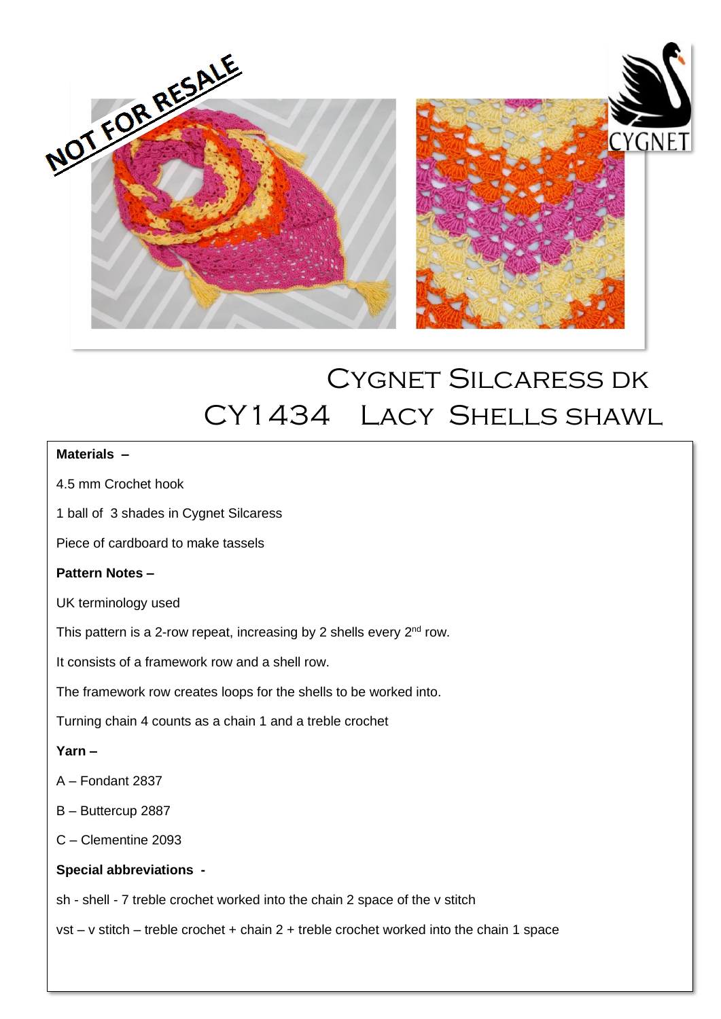

# Cygnet Silcaress dk CY1434 Lacy Shells shawl

 $\overline{a}$ 

## **Materials –**

- 4.5 mm Crochet hook
- 1 ball of 3 shades in Cygnet Silcaress
- Piece of cardboard to make tassels

#### **Pattern Notes –**

UK terminology used

This pattern is a 2-row repeat, increasing by 2 shells every  $2<sup>nd</sup>$  row.

It consists of a framework row and a shell row.

The framework row creates loops for the shells to be worked into.

Turning chain 4 counts as a chain 1 and a treble crochet

## **Yarn –**

- A Fondant 2837
- B Buttercup 2887
- C Clementine 2093

#### **Special abbreviations -**

sh - shell - 7 treble crochet worked into the chain 2 space of the v stitch

vst – v stitch – treble crochet + chain 2 + treble crochet worked into the chain 1 space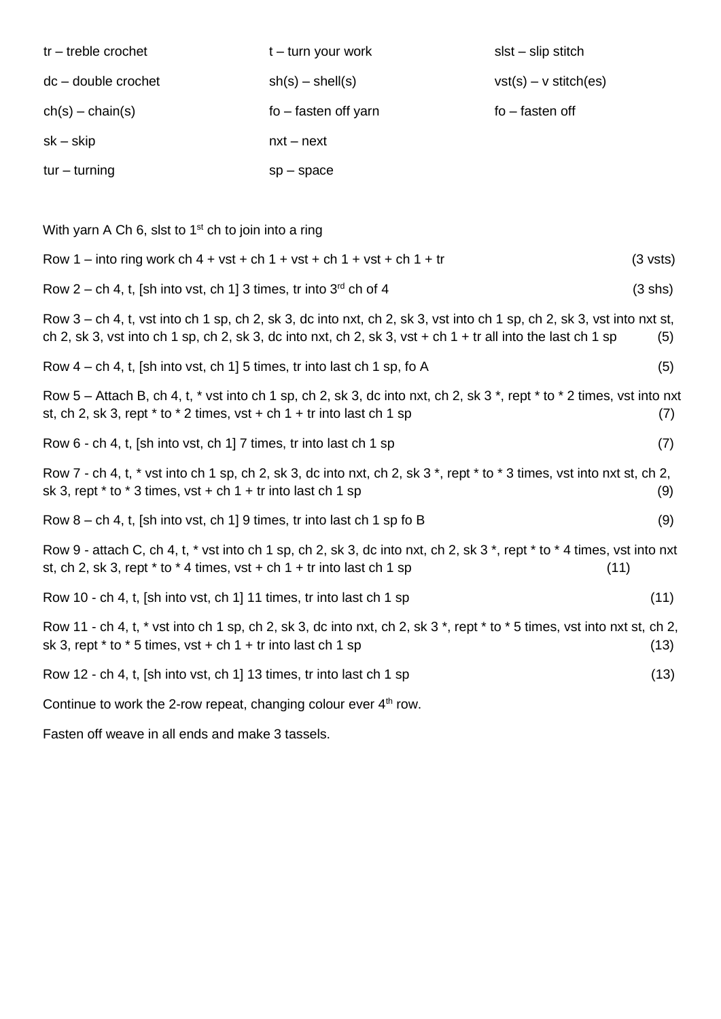| $tr$ – treble crochet | $t - turn$ your work | $slst - slip$ stitch    |
|-----------------------|----------------------|-------------------------|
| $dc - double crochet$ | $sh(s) - shell(s)$   | $vst(s) - v stitch(es)$ |
| $ch(s) - chain(s)$    | fo – fasten off yarn | $fo$ – fasten off       |
| sk – skip             | $nxt - next$         |                         |
| $tur - turning$       | $sp$ – space         |                         |

With yarn A Ch 6, slst to  $1^{st}$  ch to join into a ring

| Row 1 – into ring work ch 4 + vst + ch 1 + vst + ch 1 + vst + ch 1 + tr                                                                                                                                                                  | $(3 \text{ vsts})$ |
|------------------------------------------------------------------------------------------------------------------------------------------------------------------------------------------------------------------------------------------|--------------------|
| Row 2 – ch 4, t, [sh into vst, ch 1] 3 times, tr into $3^{rd}$ ch of 4                                                                                                                                                                   | (3 shs)            |
| Row $3$ – ch 4, t, vst into ch 1 sp, ch 2, sk 3, dc into nxt, ch 2, sk 3, vst into ch 1 sp, ch 2, sk 3, vst into nxt st,<br>ch 2, sk 3, vst into ch 1 sp, ch 2, sk 3, dc into nxt, ch 2, sk 3, vst + ch 1 + tr all into the last ch 1 sp | (5)                |
| Row $4$ – ch 4, t, [sh into vst, ch 1] 5 times, tr into last ch 1 sp, fo A                                                                                                                                                               | (5)                |
| Row $5$ – Attach B, ch 4, t, $*$ vst into ch 1 sp, ch 2, sk 3, dc into nxt, ch 2, sk 3 $*$ , rept $*$ to $*$ 2 times, vst into nxt<br>st, ch 2, sk 3, rept $*$ to $*$ 2 times, vst + ch 1 + tr into last ch 1 sp                         | (7)                |
| Row 6 - ch 4, t, [sh into vst, ch 1] 7 times, tr into last ch 1 sp                                                                                                                                                                       | (7)                |
| Row 7 - ch 4, t, * vst into ch 1 sp, ch 2, sk 3, dc into nxt, ch 2, sk 3 *, rept * to * 3 times, vst into nxt st, ch 2,<br>sk 3, rept $*$ to $*$ 3 times, vst + ch 1 + tr into last ch 1 sp                                              | (9)                |
| Row $8$ – ch 4, t, [sh into vst, ch 1] 9 times, tr into last ch 1 sp fo B                                                                                                                                                                | (9)                |
| Row 9 - attach C, ch 4, t, * vst into ch 1 sp, ch 2, sk 3, dc into nxt, ch 2, sk 3 *, rept * to * 4 times, vst into nxt<br>st, ch 2, sk 3, rept $*$ to $*$ 4 times, vst + ch 1 + tr into last ch 1 sp<br>(11)                            |                    |
| Row 10 - ch 4, t, [sh into vst, ch 1] 11 times, tr into last ch 1 sp                                                                                                                                                                     | (11)               |
| Row 11 - ch 4, t, * vst into ch 1 sp, ch 2, sk 3, dc into nxt, ch 2, sk 3 *, rept * to * 5 times, vst into nxt st, ch 2,<br>sk 3, rept $*$ to $*$ 5 times, vst + ch 1 + tr into last ch 1 sp                                             | (13)               |
| Row 12 - ch 4, t, [sh into vst, ch 1] 13 times, tr into last ch 1 sp                                                                                                                                                                     | (13)               |
| Continue to work the 2-row repeat, changing colour ever $4th$ row.                                                                                                                                                                       |                    |
|                                                                                                                                                                                                                                          |                    |

Fasten off weave in all ends and make 3 tassels.